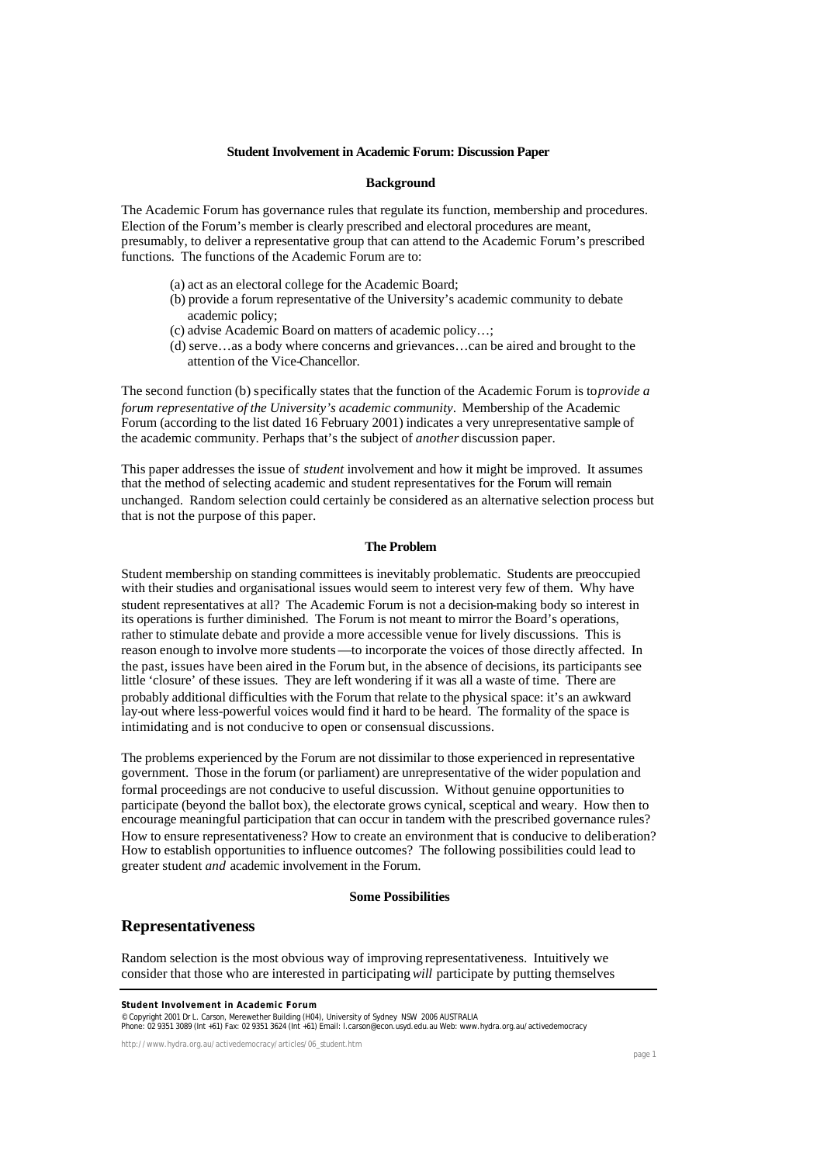#### **Student Involvement in Academic Forum: Discussion Paper**

## **Background**

The Academic Forum has governance rules that regulate its function, membership and procedures. Election of the Forum's member is clearly prescribed and electoral procedures are meant, presumably, to deliver a representative group that can attend to the Academic Forum's prescribed functions. The functions of the Academic Forum are to:

- (a) act as an electoral college for the Academic Board;
- (b) provide a forum representative of the University's academic community to debate academic policy;
- (c) advise Academic Board on matters of academic policy…;
- (d) serve…as a body where concerns and grievances…can be aired and brought to the attention of the Vice-Chancellor.

The second function (b) specifically states that the function of the Academic Forum is to *provide a forum representative of the University's academic community*. Membership of the Academic Forum (according to the list dated 16 February 2001) indicates a very unrepresentative sample of the academic community. Perhaps that's the subject of *another* discussion paper.

This paper addresses the issue of *student* involvement and how it might be improved. It assumes that the method of selecting academic and student representatives for the Forum will remain unchanged. Random selection could certainly be considered as an alternative selection process but that is not the purpose of this paper.

### **The Problem**

Student membership on standing committees is inevitably problematic. Students are preoccupied with their studies and organisational issues would seem to interest very few of them. Why have student representatives at all? The Academic Forum is not a decision-making body so interest in its operations is further diminished. The Forum is not meant to mirror the Board's operations, rather to stimulate debate and provide a more accessible venue for lively discussions. This is reason enough to involve more students—to incorporate the voices of those directly affected. In the past, issues have been aired in the Forum but, in the absence of decisions, its participants see little 'closure' of these issues. They are left wondering if it was all a waste of time. There are probably additional difficulties with the Forum that relate to the physical space: it's an awkward lay-out where less-powerful voices would find it hard to be heard. The formality of the space is intimidating and is not conducive to open or consensual discussions.

The problems experienced by the Forum are not dissimilar to those experienced in representative government. Those in the forum (or parliament) are unrepresentative of the wider population and formal proceedings are not conducive to useful discussion. Without genuine opportunities to participate (beyond the ballot box), the electorate grows cynical, sceptical and weary. How then to encourage meaningful participation that can occur in tandem with the prescribed governance rules? How to ensure representativeness? How to create an environment that is conducive to deliberation? How to establish opportunities to influence outcomes? The following possibilities could lead to greater student *and* academic involvement in the Forum.

#### **Some Possibilities**

## **Representativeness**

Random selection is the most obvious way of improving representativeness. Intuitively we consider that those who are interested in participating *will* participate by putting themselves

© Copyright 2001 Dr L. Carson, Merewether Building (H04), University of Sydney NSW 2006 AUSTRALIA<br>Phone: 02 9351 3089 (Int +61) Fax: 02 9351 3624 (Int +61) Email: I.carson@econ.usyd.edu.au Web: www.hydra.org.au/activedemoc

http://www.hydra.org.au/activedemocracy/articles/06\_student.htm

**Student Involvement in Academic Forum**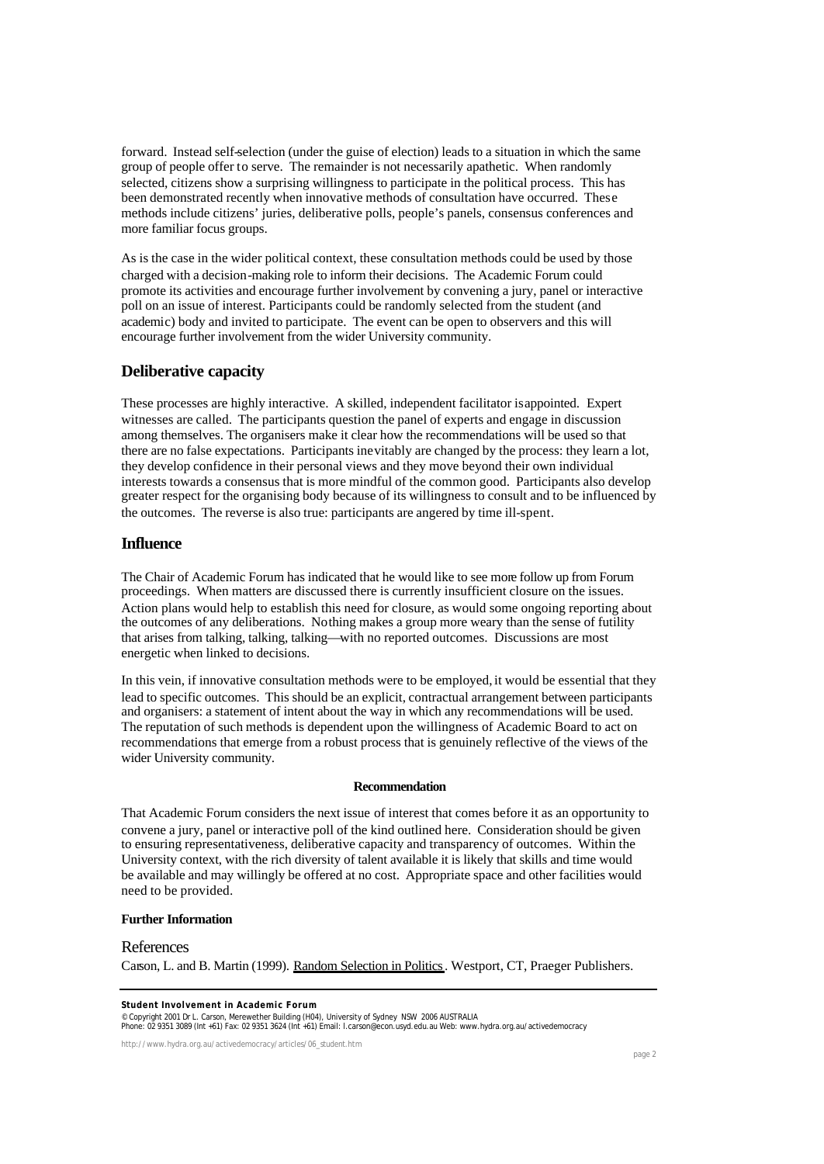forward. Instead self-selection (under the guise of election) leads to a situation in which the same group of people offer to serve. The remainder is not necessarily apathetic. When randomly selected, citizens show a surprising willingness to participate in the political process. This has been demonstrated recently when innovative methods of consultation have occurred. These methods include citizens' juries, deliberative polls, people's panels, consensus conferences and more familiar focus groups.

As is the case in the wider political context, these consultation methods could be used by those charged with a decision-making role to inform their decisions. The Academic Forum could promote its activities and encourage further involvement by convening a jury, panel or interactive poll on an issue of interest. Participants could be randomly selected from the student (and academic) body and invited to participate. The event can be open to observers and this will encourage further involvement from the wider University community.

# **Deliberative capacity**

These processes are highly interactive. A skilled, independent facilitator is appointed. Expert witnesses are called. The participants question the panel of experts and engage in discussion among themselves. The organisers make it clear how the recommendations will be used so that there are no false expectations. Participants inevitably are changed by the process: they learn a lot, they develop confidence in their personal views and they move beyond their own individual interests towards a consensus that is more mindful of the common good. Participants also develop greater respect for the organising body because of its willingness to consult and to be influenced by the outcomes. The reverse is also true: participants are angered by time ill-spent.

## **Influence**

The Chair of Academic Forum has indicated that he would like to see more follow up from Forum proceedings. When matters are discussed there is currently insufficient closure on the issues. Action plans would help to establish this need for closure, as would some ongoing reporting about the outcomes of any deliberations. Nothing makes a group more weary than the sense of futility that arises from talking, talking, talking—with no reported outcomes. Discussions are most energetic when linked to decisions.

In this vein, if innovative consultation methods were to be employed, it would be essential that they lead to specific outcomes. This should be an explicit, contractual arrangement between participants and organisers: a statement of intent about the way in which any recommendations will be used. The reputation of such methods is dependent upon the willingness of Academic Board to act on recommendations that emerge from a robust process that is genuinely reflective of the views of the wider University community.

## **Recommendation**

That Academic Forum considers the next issue of interest that comes before it as an opportunity to convene a jury, panel or interactive poll of the kind outlined here. Consideration should be given to ensuring representativeness, deliberative capacity and transparency of outcomes. Within the University context, with the rich diversity of talent available it is likely that skills and time would be available and may willingly be offered at no cost. Appropriate space and other facilities would need to be provided.

### **Further Information**

## References

Carson, L. and B. Martin (1999). Random Selection in Politics. Westport, CT, Praeger Publishers.

© Copyright 2001 Dr L. Carson, Merewether Building (H04), University of Sydney NSW 2006 AUSTRALIA<br>Phone: 02 9351 3089 (Int +61) Fax: 02 9351 3624 (Int +61) Email: I.carson@econ.usyd.edu.au Web: www.hydra.org.au/activedemoc

http://www.hydra.org.au/activedemocracy/articles/06\_student.htm

**Student Involvement in Academic Forum**